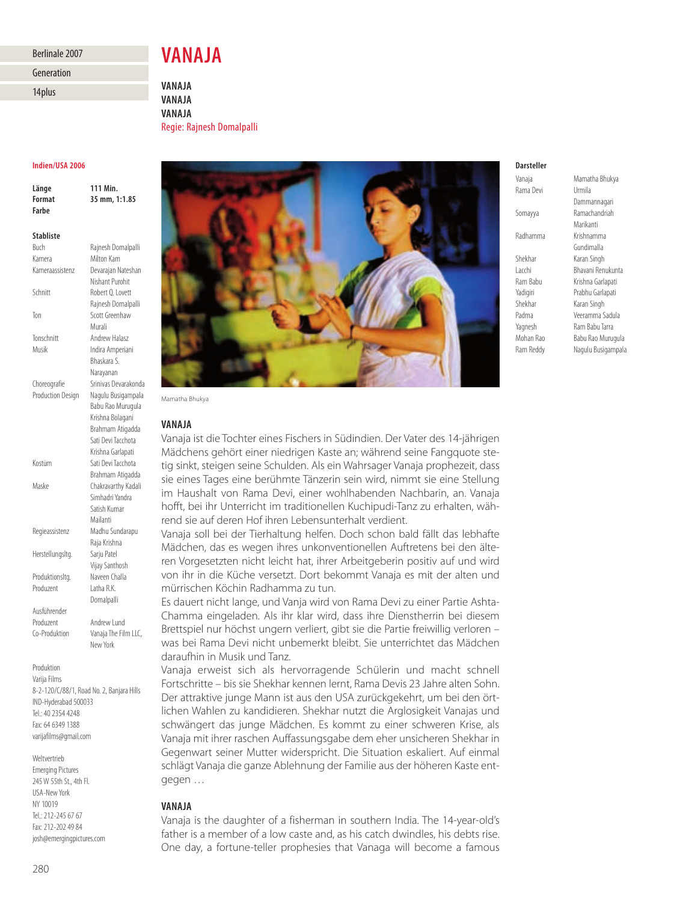## Berlinale 2007

# Generation

14plus

**VANAJA**

**VANAJA VANAJA VANAJA** Regie: Rajnesh Domalpalli

| Indien/USA 2006                        |                                           |
|----------------------------------------|-------------------------------------------|
| Länge<br><b>Format</b><br><b>Farbe</b> | 111 Min.<br>35 mm, 1:1.85                 |
| <b>Stabliste</b>                       |                                           |
| Buch                                   | Rajnesh Domalpalli                        |
| Kamera                                 | Milton Kam                                |
| Kameraassistenz                        | Devarajan Nateshan                        |
|                                        | Nishant Purohit                           |
| Schnitt                                | Robert O. Lovett                          |
|                                        | Rajnesh Domalpalli                        |
| Ton                                    | Scott Greenhaw                            |
|                                        | Murali                                    |
| Tonschnitt<br>Musik                    | Andrew Halasz                             |
|                                        | Indira Amperiani<br>Bhaskara S.           |
|                                        | Narayanan                                 |
| Choreografie                           | Srinivas Devarakonda                      |
| <b>Production Design</b>               | Nagulu Busigampala                        |
|                                        | Babu Rao Murugula                         |
|                                        | Krishna Bolagani                          |
|                                        | Brahmam Atigadda                          |
|                                        | Sati Devi Tacchota                        |
|                                        | Krishna Garlapati                         |
| Kostüm                                 | Sati Devi Tacchota                        |
|                                        | Brahmam Atigadda                          |
| Maske                                  | Chakravarthy Kadali                       |
|                                        | Simhadri Yandra                           |
|                                        | Satish Kumar<br>Mailanti                  |
| Regieassistenz                         | Madhu Sundarapu                           |
|                                        | Raja Krishna                              |
| Herstellungsltg.                       | Sarju Patel                               |
|                                        | Vijay Santhosh                            |
| Produktionsltg.                        | Naveen Challa                             |
| Produzent                              | Latha R.K.                                |
|                                        | Domalpalli                                |
| Ausführender                           |                                           |
| Produzent                              | Andrew Lund                               |
| Co-Produktion                          | Vanaja The Film LLC,                      |
|                                        | New York                                  |
| Produktion                             |                                           |
| Varija Films                           |                                           |
|                                        | 8-2-120/C/88/1, Road No. 2, Banjara Hills |

IND-Hyderabad 500033 Tel.: 40 2354 4248 Fax: 64 6349 1388 varijafilms@gmail.com

Weltvertrieb Emerging Pictures 245 W 55th St., 4th Fl. USA-New York NY 10019 Tel.: 212-245 67 67 Fax: 212-202 49 84 josh@emergingpictures.com



Mamatha Bhukya

## **VANAJA**

Vanaja ist die Tochter eines Fischers in Südindien. Der Vater des 14-jährigen Mädchens gehört einer niedrigen Kaste an; während seine Fangquote stetig sinkt, steigen seine Schulden. Als ein Wahrsager Vanaja prophezeit, dass sie eines Tages eine berühmte Tänzerin sein wird, nimmt sie eine Stellung im Haushalt von Rama Devi, einer wohlhabenden Nachbarin, an. Vanaja hofft, bei ihr Unterricht im traditionellen Kuchipudi-Tanz zu erhalten, während sie auf deren Hof ihren Lebensunterhalt verdient.

Vanaja soll bei der Tierhaltung helfen. Doch schon bald fällt das lebhafte Mädchen, das es wegen ihres unkonventionellen Auftretens bei den älteren Vorgesetzten nicht leicht hat, ihrer Arbeitgeberin positiv auf und wird von ihr in die Küche versetzt. Dort bekommt Vanaja es mit der alten und mürrischen Köchin Radhamma zu tun.

Es dauert nicht lange, und Vanja wird von Rama Devi zu einer Partie Ashta-Chamma eingeladen. Als ihr klar wird, dass ihre Dienstherrin bei diesem Brettspiel nur höchst ungern verliert, gibt sie die Partie freiwillig verloren – was bei Rama Devi nicht unbemerkt bleibt. Sie unterrichtet das Mädchen daraufhin in Musik und Tanz.

Vanaja erweist sich als hervorragende Schülerin und macht schnell Fortschritte – bis sie Shekhar kennen lernt, Rama Devis 23 Jahre alten Sohn. Der attraktive junge Mann ist aus den USA zurückgekehrt, um bei den örtlichen Wahlen zu kandidieren. Shekhar nutzt die Arglosigkeit Vanajas und schwängert das junge Mädchen. Es kommt zu einer schweren Krise, als Vanaja mit ihrer raschen Auffassungsgabe dem eher unsicheren Shekhar in Gegenwart seiner Mutter widerspricht. Die Situation eskaliert. Auf einmal schlägt Vanaja die ganze Ablehnung der Familie aus der höheren Kaste entgegen …

## **VANAJA**

Vanaja is the daughter of a fisherman in southern India. The 14-year-old's father is a member of a low caste and, as his catch dwindles, his debts rise. One day, a fortune-teller prophesies that Vanaga will become a famous

# **Darsteller**

Rama Devi Shekhar Karan Singh Shekhar Karan Singh

Vanaja Mamatha Bhukya Dammannagari Somayya Ramachandriah Marikanti Radhamma Krishnamma Gundimalla Lacchi Bhavani Renukunta Ram Babu Krishna Garlapati Yadigiri Prabhu Garlapati Padma Veeramma Sadula Yagnesh Ram Babu Tarra Mohan Rao Babu Rao Murugula Ram Reddy Nagulu Busigampala